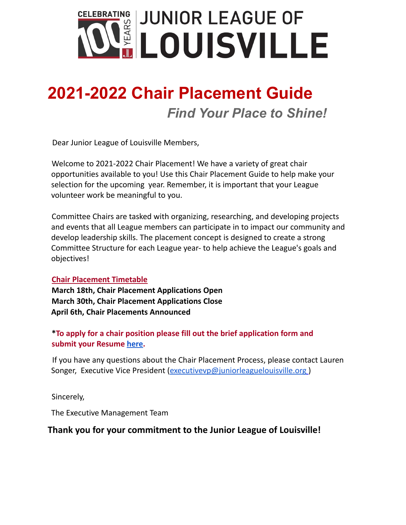

# **2021-2022 Chair Placement Guide** *Find Your Place to Shine!*

Dear Junior League of Louisville Members,

Welcome to 2021-2022 Chair Placement! We have a variety of great chair opportunities available to you! Use this Chair Placement Guide to help make your selection for the upcoming year. Remember, it is important that your League volunteer work be meaningful to you.

Committee Chairs are tasked with organizing, researching, and developing projects and events that all League members can participate in to impact our community and develop leadership skills. The placement concept is designed to create a strong Committee Structure for each League year- to help achieve the League's goals and objectives!

#### **Chair Placement Timetable**

**March 18th, Chair Placement Applications Open March 30th, Chair Placement Applications Close April 6th, Chair Placements Announced**

#### **\*To apply for a chair position please fill out the brief application form and submit your Resume [here.](https://members.juniorleaguelouisville.org/?nd=vms_load_form&form_id=38&return_nd=vms_form_list)**

If you have any questions about the Chair Placement Process, please contact Lauren Songer, Executive Vice President [\(executivevp@juniorleaguelouisville.org](mailto:executivevp@juniorleaguelouisville.org) )

Sincerely,

The Executive Management Team

#### **Thank you for your commitment to the Junior League of Louisville!**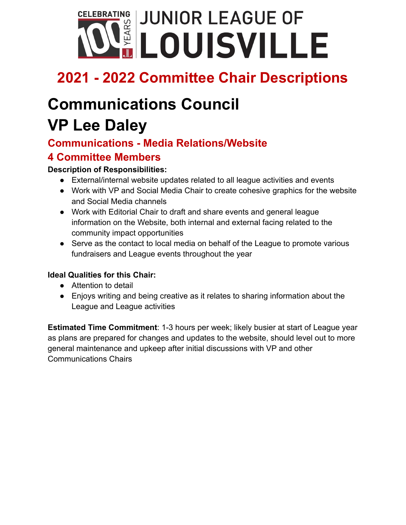

# **Communications Council**

# **VP Lee Daley**

## **Communications - Media Relations/Website**

### **4 Committee Members**

#### **Description of Responsibilities:**

- External/internal website updates related to all league activities and events
- Work with VP and Social Media Chair to create cohesive graphics for the website and Social Media channels
- Work with Editorial Chair to draft and share events and general league information on the Website, both internal and external facing related to the community impact opportunities
- Serve as the contact to local media on behalf of the League to promote various fundraisers and League events throughout the year

#### **Ideal Qualities for this Chair:**

- Attention to detail
- Enjoys writing and being creative as it relates to sharing information about the League and League activities

**Estimated Time Commitment**: 1-3 hours per week; likely busier at start of League year as plans are prepared for changes and updates to the website, should level out to more general maintenance and upkeep after initial discussions with VP and other Communications Chairs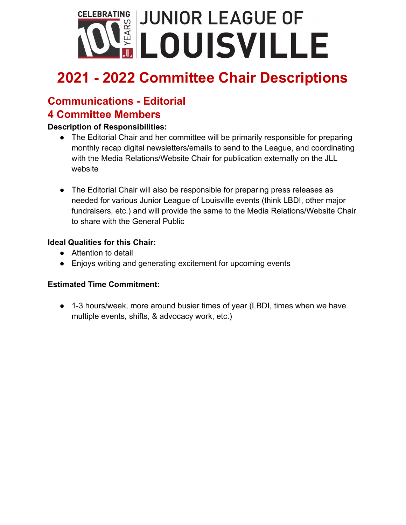

# **Communications - Editorial**

## **4 Committee Members**

#### **Description of Responsibilities:**

- The Editorial Chair and her committee will be primarily responsible for preparing monthly recap digital newsletters/emails to send to the League, and coordinating with the Media Relations/Website Chair for publication externally on the JLL website
- The Editorial Chair will also be responsible for preparing press releases as needed for various Junior League of Louisville events (think LBDI, other major fundraisers, etc.) and will provide the same to the Media Relations/Website Chair to share with the General Public

#### **Ideal Qualities for this Chair:**

- Attention to detail
- Enjoys writing and generating excitement for upcoming events

#### **Estimated Time Commitment:**

● 1-3 hours/week, more around busier times of year (LBDI, times when we have multiple events, shifts, & advocacy work, etc.)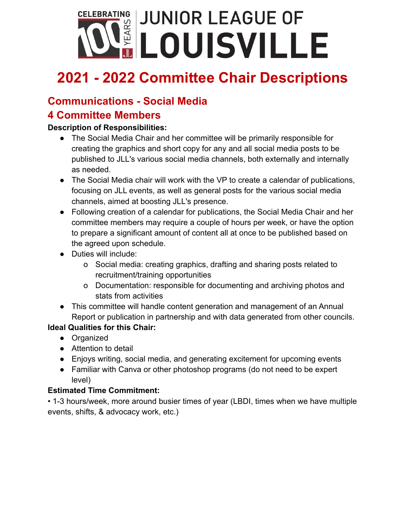

### **Communications - Social Media**

### **4 Committee Members**

#### **Description of Responsibilities:**

- The Social Media Chair and her committee will be primarily responsible for creating the graphics and short copy for any and all social media posts to be published to JLL's various social media channels, both externally and internally as needed.
- The Social Media chair will work with the VP to create a calendar of publications, focusing on JLL events, as well as general posts for the various social media channels, aimed at boosting JLL's presence.
- Following creation of a calendar for publications, the Social Media Chair and her committee members may require a couple of hours per week, or have the option to prepare a significant amount of content all at once to be published based on the agreed upon schedule.
- Duties will include:
	- o Social media: creating graphics, drafting and sharing posts related to recruitment/training opportunities
	- o Documentation: responsible for documenting and archiving photos and stats from activities
- This committee will handle content generation and management of an Annual Report or publication in partnership and with data generated from other councils.

#### **Ideal Qualities for this Chair:**

- Organized
- Attention to detail
- Enjoys writing, social media, and generating excitement for upcoming events
- Familiar with Canva or other photoshop programs (do not need to be expert level)

#### **Estimated Time Commitment:**

• 1-3 hours/week, more around busier times of year (LBDI, times when we have multiple events, shifts, & advocacy work, etc.)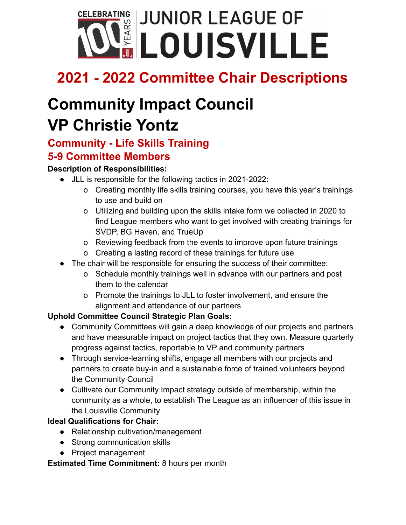

# **Community Impact Council VP Christie Yontz**

### **Community - Life Skills Training 5-9 Committee Members**

#### **Description of Responsibilities:**

- JLL is responsible for the following tactics in 2021-2022:
	- o Creating monthly life skills training courses, you have this year's trainings to use and build on
	- o Utilizing and building upon the skills intake form we collected in 2020 to find League members who want to get involved with creating trainings for SVDP, BG Haven, and TrueUp
	- o Reviewing feedback from the events to improve upon future trainings
	- o Creating a lasting record of these trainings for future use
- The chair will be responsible for ensuring the success of their committee:
	- o Schedule monthly trainings well in advance with our partners and post them to the calendar
	- o Promote the trainings to JLL to foster involvement, and ensure the alignment and attendance of our partners

#### **Uphold Committee Council Strategic Plan Goals:**

- Community Committees will gain a deep knowledge of our projects and partners and have measurable impact on project tactics that they own. Measure quarterly progress against tactics, reportable to VP and community partners
- Through service-learning shifts, engage all members with our projects and partners to create buy-in and a sustainable force of trained volunteers beyond the Community Council
- Cultivate our Community Impact strategy outside of membership, within the community as a whole, to establish The League as an influencer of this issue in the Louisville Community

#### **Ideal Qualifications for Chair:**

- Relationship cultivation/management
- Strong communication skills
- Project management

#### **Estimated Time Commitment:** 8 hours per month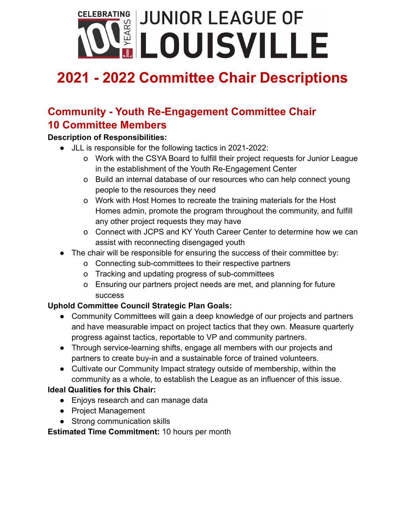

## **Community - Youth Re-Engagement Committee Chair 10 Committee Members**

#### **Description of Responsibilities:**

- JLL is responsible for the following tactics in 2021-2022:
	- o Work with the CSYA Board to fulfill their project requests for Junior League in the establishment of the Youth Re-Engagement Center
	- o Build an internal database of our resources who can help connect young people to the resources they need
	- o Work with Host Homes to recreate the training materials for the Host Homes admin, promote the program throughout the community, and fulfill any other project requests they may have
	- o Connect with JCPS and KY Youth Career Center to determine how we can assist with reconnecting disengaged youth
- The chair will be responsible for ensuring the success of their committee by:
	- o Connecting sub-committees to their respective partners
	- o Tracking and updating progress of sub-committees
	- o Ensuring our partners project needs are met, and planning for future success

#### **Uphold Committee Council Strategic Plan Goals:**

- Community Committees will gain a deep knowledge of our projects and partners and have measurable impact on project tactics that they own. Measure quarterly progress against tactics, reportable to VP and community partners.
- Through service-learning shifts, engage all members with our projects and partners to create buy-in and a sustainable force of trained volunteers.
- Cultivate our Community Impact strategy outside of membership, within the community as a whole, to establish the League as an influencer of this issue.

#### **Ideal Qualities for this Chair:**

- Enjoys research and can manage data
- Project Management
- Strong communication skills

**Estimated Time Commitment:** 10 hours per month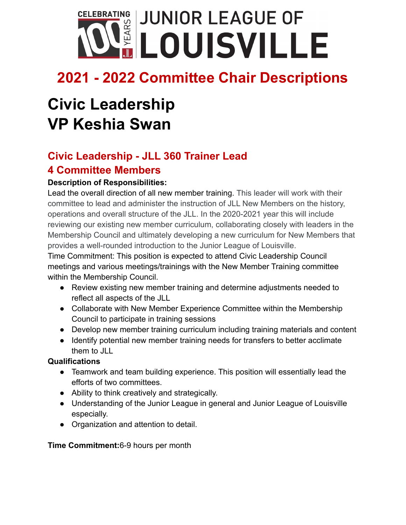

# **Civic Leadership VP Keshia Swan**

## **Civic Leadership - JLL 360 Trainer Lead 4 Committee Members**

#### **Description of Responsibilities:**

Lead the overall direction of all new member training. This leader will work with their committee to lead and administer the instruction of JLL New Members on the history, operations and overall structure of the JLL. In the 2020-2021 year this will include reviewing our existing new member curriculum, collaborating closely with leaders in the Membership Council and ultimately developing a new curriculum for New Members that provides a well-rounded introduction to the Junior League of Louisville.

Time Commitment: This position is expected to attend Civic Leadership Council meetings and various meetings/trainings with the New Member Training committee within the Membership Council.

- Review existing new member training and determine adjustments needed to reflect all aspects of the JLL
- Collaborate with New Member Experience Committee within the Membership Council to participate in training sessions
- Develop new member training curriculum including training materials and content
- Identify potential new member training needs for transfers to better acclimate them to JLL

#### **Qualifications**

- Teamwork and team building experience. This position will essentially lead the efforts of two committees.
- Ability to think creatively and strategically.
- Understanding of the Junior League in general and Junior League of Louisville especially.
- Organization and attention to detail.

#### **Time Commitment:**6-9 hours per month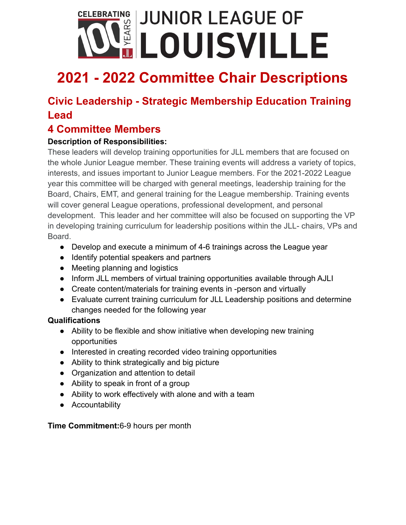# CELEBRATING **JUNIOR LEAGUE OF LOUISVILLE**

# **2021 - 2022 Committee Chair Descriptions**

## **Civic Leadership - Strategic Membership Education Training Lead**

### **4 Committee Members**

#### **Description of Responsibilities:**

These leaders will develop training opportunities for JLL members that are focused on the whole Junior League member. These training events will address a variety of topics, interests, and issues important to Junior League members. For the 2021-2022 League year this committee will be charged with general meetings, leadership training for the Board, Chairs, EMT, and general training for the League membership. Training events will cover general League operations, professional development, and personal development. This leader and her committee will also be focused on supporting the VP in developing training curriculum for leadership positions within the JLL- chairs, VPs and Board.

- Develop and execute a minimum of 4-6 trainings across the League year
- Identify potential speakers and partners
- Meeting planning and logistics
- Inform JLL members of virtual training opportunities available through AJLI
- Create content/materials for training events in -person and virtually
- Evaluate current training curriculum for JLL Leadership positions and determine changes needed for the following year

#### **Qualifications**

- Ability to be flexible and show initiative when developing new training opportunities
- Interested in creating recorded video training opportunities
- Ability to think strategically and big picture
- Organization and attention to detail
- Ability to speak in front of a group
- Ability to work effectively with alone and with a team
- Accountability

#### **Time Commitment:**6-9 hours per month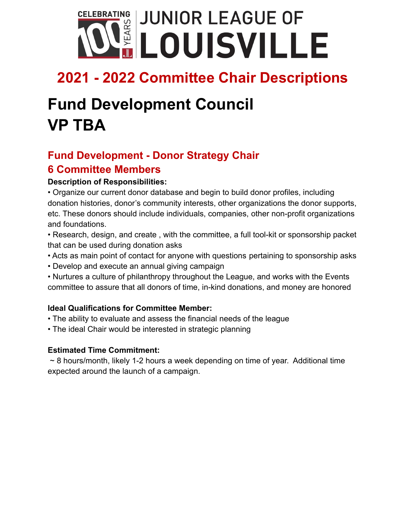

# **Fund Development Council VP TBA**

## **Fund Development - Donor Strategy Chair 6 Committee Members**

#### **Description of Responsibilities:**

• Organize our current donor database and begin to build donor profiles, including donation histories, donor's community interests, other organizations the donor supports, etc. These donors should include individuals, companies, other non-profit organizations and foundations.

• Research, design, and create , with the committee, a full tool-kit or sponsorship packet that can be used during donation asks

- Acts as main point of contact for anyone with questions pertaining to sponsorship asks
- Develop and execute an annual giving campaign

• Nurtures a culture of philanthropy throughout the League, and works with the Events committee to assure that all donors of time, in-kind donations, and money are honored

#### **Ideal Qualifications for Committee Member:**

- The ability to evaluate and assess the financial needs of the league
- The ideal Chair would be interested in strategic planning

#### **Estimated Time Commitment:**

 $\sim$  8 hours/month, likely 1-2 hours a week depending on time of year. Additional time expected around the launch of a campaign.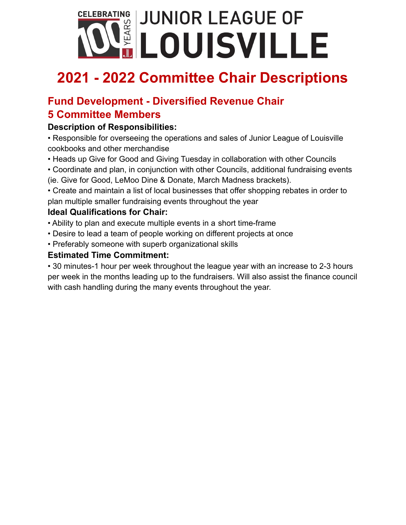

### **Fund Development - Diversified Revenue Chair 5 Committee Members**

#### **Description of Responsibilities:**

• Responsible for overseeing the operations and sales of Junior League of Louisville cookbooks and other merchandise

- Heads up Give for Good and Giving Tuesday in collaboration with other Councils
- Coordinate and plan, in conjunction with other Councils, additional fundraising events (ie. Give for Good, LeMoo Dine & Donate, March Madness brackets).

• Create and maintain a list of local businesses that offer shopping rebates in order to plan multiple smaller fundraising events throughout the year

#### **Ideal Qualifications for Chair:**

- Ability to plan and execute multiple events in a short time-frame
- Desire to lead a team of people working on different projects at once
- Preferably someone with superb organizational skills

#### **Estimated Time Commitment:**

• 30 minutes-1 hour per week throughout the league year with an increase to 2-3 hours per week in the months leading up to the fundraisers. Will also assist the finance council with cash handling during the many events throughout the year.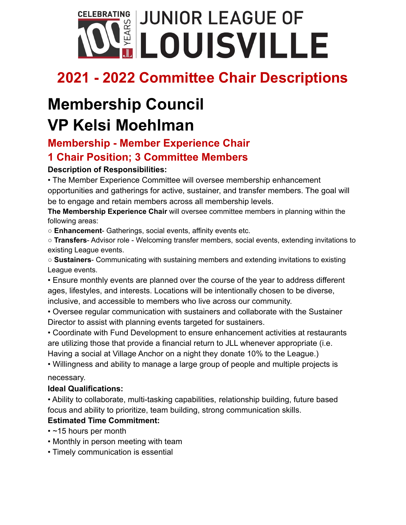

## **Membership Council VP Kelsi Moehlman**

## **Membership - Member Experience Chair**

## **1 Chair Position; 3 Committee Members**

#### **Description of Responsibilities:**

• The Member Experience Committee will oversee membership enhancement opportunities and gatherings for active, sustainer, and transfer members. The goal will be to engage and retain members across all membership levels.

**The Membership Experience Chair** will oversee committee members in planning within the following areas:

○ **Enhancement**- Gatherings, social events, affinity events etc.

○ **Transfers**- Advisor role - Welcoming transfer members, social events, extending invitations to existing League events.

○ **Sustainers**- Communicating with sustaining members and extending invitations to existing League events.

• Ensure monthly events are planned over the course of the year to address different ages, lifestyles, and interests. Locations will be intentionally chosen to be diverse, inclusive, and accessible to members who live across our community.

• Oversee regular communication with sustainers and collaborate with the Sustainer Director to assist with planning events targeted for sustainers.

• Coordinate with Fund Development to ensure enhancement activities at restaurants are utilizing those that provide a financial return to JLL whenever appropriate (i.e. Having a social at Village Anchor on a night they donate 10% to the League.)

• Willingness and ability to manage a large group of people and multiple projects is necessary.

#### **Ideal Qualifications:**

• Ability to collaborate, multi-tasking capabilities, relationship building, future based focus and ability to prioritize, team building, strong communication skills.

#### **Estimated Time Commitment:**

- ~15 hours per month
- Monthly in person meeting with team
- Timely communication is essential